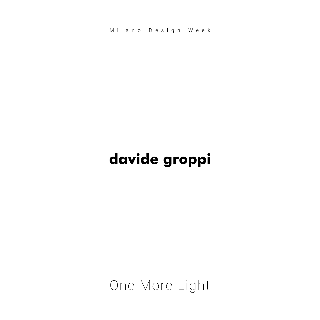Milano Design Week

# davide groppi

One More Light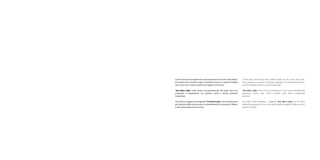Credo che alcune lampade siano nascoste dentro di me da molto tempo. Poi capita che in qualche sogno, in qualche incontro, in qualche dialogo tutto torna ed è in quel momento che appare l'intuizione.

"One More Light" vuole essere una presentazione dei nostri lavori più essenziali e sorprendenti, con qualche novità e alcune presenze inaspettate.

"One More Light" aims to be a presentation of our most essential and surprising works, with some novelties and some unexpected products.

Una notte, in viaggio, ho immaginato "**One More Light**" come l'espressione più autentica della nostra anima e immediatamente ho pensato a Milano e alla nostra passione per la luce.

One night, while travelling, I imagined "One More Light" as the most authentic expression of our soul, and instantly thought of Milan and our passion for light.

I think that some lamps were hidden inside me for a very long time. Then, perhaps in a dream, a meeting, a dialogue, it all comes back to you, and the intuition comes to you there and then.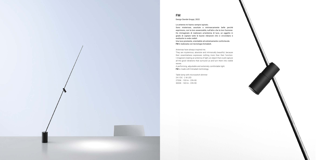## FM

### Design Davide Groppi, 2022

#### Le antenne mi hanno sempre ispirato.

Sono misteriose, assolute e intrinsecamente belle perché esprimono, con la loro essenzialità, null'altro che la loro funzione. Ho immaginato di realizzare un'antenna di luce, un oggetto in grado di captare tutte le buone vibrazioni che ci circondano e restituirle in onde visibili.

A performing, adjustable and extremely comfortable light. **FM** is made with Extradark technology.

Una luce prestante, orientabile ed estremamente confortevole. FM è realizzata con tecnologia Extradark.

#### Antennas have always inspired me.

They are mysterious, absolute and intrinsically beautiful, because their essentialness expresses nothing more than their function. I imagined creating an antenna of light, an object that could capture all the good vibrations that surround us and turn them into visible waves.

Table lamp with microswitch dimmer 24 V DC - 2 W LED 2700K - 130 lm - CRI>90 3000K - 140 lm - CRI>90

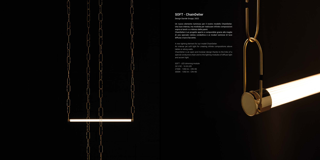## SOFT - ChainDelier

Design Davide Groppi, 2022

Un nuovo elemento luminoso per il nostro modello ChainDelier. Una luce intensa, ma morbida per realizzare infinite composizioni sopra ai tavoli o a ridosso delle pareti.

ChainDelier è un progetto aperto e componibile grazie alle maglie di una speciale catena conduttiva e ai moduli luminosi di luce diffusa e luce d'accento.

A new lighting element for our model ChainDelier.

An intense yet soft light for creating infinite compositions above tables or along walls.

ChainDelier is an open and modular design thanks to the links of a special conductive chain and to the lighting modules of diffuse light and accent light.

SOFT - LED dimming module 24 V DC - 16 W LED 2700K - 1350 lm - CRI>90 3000K - 1350 lm - CRI>90